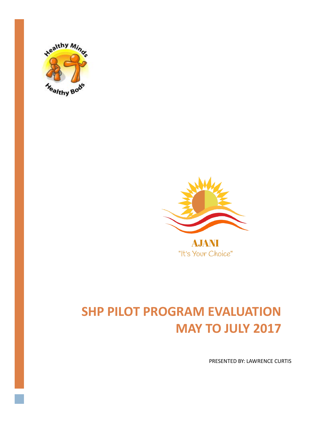



"It's Your Choice"

# **SHP PILOT PROGRAM EVALUATION MAY TO JULY 2017**

PRESENTED BY: LAWRENCE CURTIS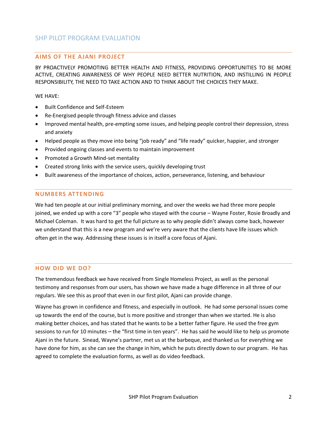## **AIMS OF THE AJANI PROJECT**

BY PROACTIVELY PROMOTING BETTER HEALTH AND FITNESS, PROVIDING OPPORTUNITIES TO BE MORE ACTIVE, CREATING AWARENESS OF WHY PEOPLE NEED BETTER NUTRITION, AND INSTILLING IN PEOPLE RESPONSIBILITY, THE NEED TO TAKE ACTION AND TO THINK ABOUT THE CHOICES THEY MAKE.

WE HAVE:

- Built Confidence and Self-Esteem
- Re-Energised people through fitness advice and classes
- Improved mental health, pre-empting some issues, and helping people control their depression, stress and anxiety
- Helped people as they move into being "job ready" and "life ready" quicker, happier, and stronger
- Provided ongoing classes and events to maintain improvement
- Promoted a Growth Mind-set mentality
- Created strong links with the service users, quickly developing trust
- Built awareness of the importance of choices, action, perseverance, listening, and behaviour

#### **NUMBERS ATTENDING**

We had ten people at our initial preliminary morning, and over the weeks we had three more people joined, we ended up with a core "3" people who stayed with the course – Wayne Foster, Rosie Broadly and Michael Coleman. It was hard to get the full picture as to why people didn't always come back, however we understand that this is a new program and we're very aware that the clients have life issues which often get in the way. Addressing these issues is in itself a core focus of Ajani.

#### **HOW DID WE DO?**

The tremendous feedback we have received from Single Homeless Project, as well as the personal testimony and responses from our users, has shown we have made a huge difference in all three of our regulars. We see this as proof that even in our first pilot, Ajani can provide change.

Wayne has grown in confidence and fitness, and especially in outlook. He had some personal issues come up towards the end of the course, but is more positive and stronger than when we started. He is also making better choices, and has stated that he wants to be a better father figure. He used the free gym sessions to run for 10 minutes – the "first time in ten years". He has said he would like to help us promote Ajani in the future. Sinead, Wayne's partner, met us at the barbeque, and thanked us for everything we have done for him, as she can see the change in him, which he puts directly down to our program. He has agreed to complete the evaluation forms, as well as do video feedback.